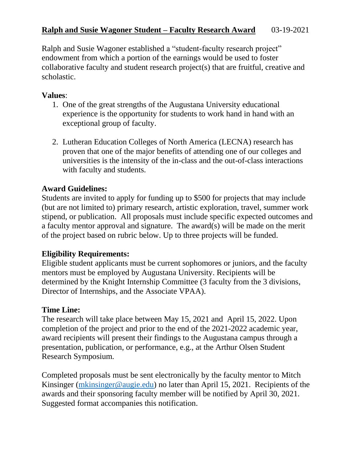Ralph and Susie Wagoner established a "student-faculty research project" endowment from which a portion of the earnings would be used to foster collaborative faculty and student research project(s) that are fruitful, creative and scholastic.

## **Values**:

- 1. One of the great strengths of the Augustana University educational experience is the opportunity for students to work hand in hand with an exceptional group of faculty.
- 2. Lutheran Education Colleges of North America (LECNA) research has proven that one of the major benefits of attending one of our colleges and universities is the intensity of the in-class and the out-of-class interactions with faculty and students.

# **Award Guidelines:**

Students are invited to apply for funding up to \$500 for projects that may include (but are not limited to) primary research, artistic exploration, travel, summer work stipend, or publication. All proposals must include specific expected outcomes and a faculty mentor approval and signature. The award(s) will be made on the merit of the project based on rubric below. Up to three projects will be funded.

### **Eligibility Requirements:**

Eligible student applicants must be current sophomores or juniors, and the faculty mentors must be employed by Augustana University. Recipients will be determined by the Knight Internship Committee (3 faculty from the 3 divisions, Director of Internships, and the Associate VPAA).

### **Time Line:**

The research will take place between May 15, 2021 and April 15, 2022. Upon completion of the project and prior to the end of the 2021-2022 academic year, award recipients will present their findings to the Augustana campus through a presentation, publication, or performance, e.g., at the Arthur Olsen Student Research Symposium.

Completed proposals must be sent electronically by the faculty mentor to Mitch Kinsinger [\(mkinsinger@augie.edu\)](mailto:mkinsinger@augie.edu) no later than April 15, 2021. Recipients of the awards and their sponsoring faculty member will be notified by April 30, 2021. Suggested format accompanies this notification.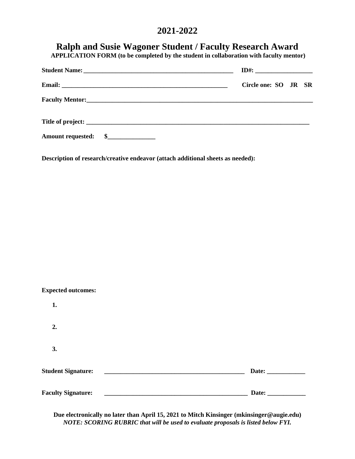# **2021-2022**

| <b>Ralph and Susie Wagoner Student / Faculty Research Award</b><br>APPLICATION FORM (to be completed by the student in collaboration with faculty mentor) |                      |  |  |  |
|-----------------------------------------------------------------------------------------------------------------------------------------------------------|----------------------|--|--|--|
|                                                                                                                                                           |                      |  |  |  |
|                                                                                                                                                           | Circle one: SO JR SR |  |  |  |
|                                                                                                                                                           |                      |  |  |  |
|                                                                                                                                                           |                      |  |  |  |
|                                                                                                                                                           |                      |  |  |  |

**Description of research/creative endeavor (attach additional sheets as needed):**

| <b>Expected outcomes:</b> |                       |
|---------------------------|-----------------------|
| 1.                        |                       |
| 2.                        |                       |
| 3.                        |                       |
| <b>Student Signature:</b> |                       |
| <b>Faculty Signature:</b> | Date: $\qquad \qquad$ |

**Due electronically no later than April 15, 2021 to Mitch Kinsinger (mkinsinger@augie.edu)** *NOTE: SCORING RUBRIC that will be used to evaluate proposals is listed below FYI.*